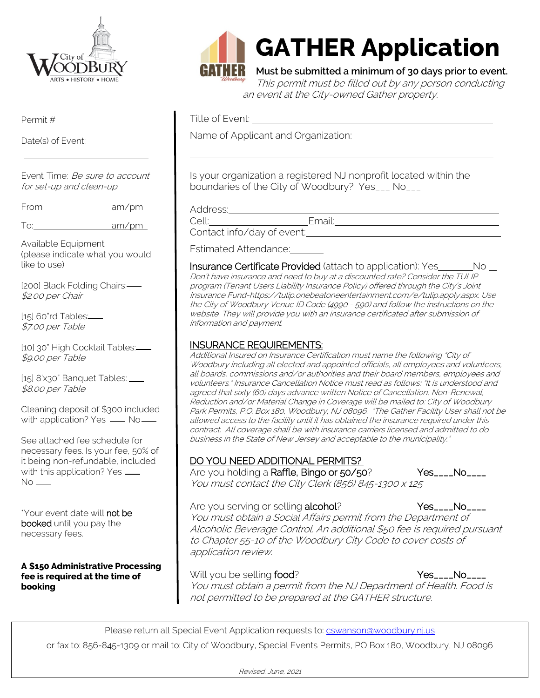

Permit #

Date(s) of Event:

Event Time: Be sure to account for set-up and clean-up

From am/pm

To: am/pm

Available Equipment (please indicate what you would like to use)

[200] Black Folding Chairs: \$2.00 per Chair

[15] 60"rd Tables: \$7.00 per Table

[10] 30" High Cocktail Tables: \$9.00 per Table

[15] 8'x30" Banquet Tables: \_\_\_ \$8.00 per Table

Cleaning deposit of \$300 included with application? Yes  $\_\_\_\$  No $\_\_\_\$ 

See attached fee schedule for necessary fees. Is your fee, 50% of it being non-refundable, included with this application? Yes \_\_\_  $No$  —

\*Your event date will not be booked until you pay the necessary fees.

**A \$150 Administrative Processing fee is required at the time of booking**



# **GATHER Application**

**Must be submitted a minimum of 30 days prior to event.** This permit must be filled out by any person conducting an event at the City-owned Gather property.

Title of Event:

Name of Applicant and Organization:

Is your organization a registered NJ nonprofit located within the boundaries of the City of Woodbury? Yes\_\_\_ No\_\_\_

Address:

Cell: Email:

Contact info/day of event:

Estimated Attendance:

Insurance Certificate Provided (attach to application): Yes \_\_\_\_\_\_\_\_ No \_\_ Don't have insurance and need to buy at a discounted rate? Consider the TULIP program (Tenant Users Liability Insurance Policy) offered through the City's Joint Insurance Fund-https://tulip.onebeatoneentertainment.com/e/tulip.apply.aspx. Use the City of Woodbury Venue ID Code (4990 - 590) and follow the instructions on the website. They will provide you with an insurance certificated after submission of information and payment.

# INSURANCE REQUIREMENTS:

Additional Insured on Insurance Certification must name the following "City of Woodbury including all elected and appointed officials, all employees and volunteers, all boards, commissions and/or authorities and their board members, employees and volunteers." Insurance Cancellation Notice must read as follows: "It is understood and agreed that sixty (60) days advance written Notice of Cancellation, Non-Renewal, Reduction and/or Material Change in Coverage will be mailed to: City of Woodbury Park Permits, P.O. Box 180, Woodbury, NJ 08096. "The Gather Facility User shall not be allowed access to the facility until it has obtained the insurance required under this contract. All coverage shall be with insurance carriers licensed and admitted to do business in the State of New Jersey and acceptable to the municipality."

# DO YOU NEED ADDITIONAL PERMITS?

Are you holding a Raffle, Bingo or 50/50? Yes\_\_\_\_No\_\_\_\_ You must contact the City Clerk (856) 845-1300 x 125

Are you serving or selling alcohol? Yes\_\_\_\_No\_\_\_\_

You must obtain a Social Affairs permit from the Department of Alcoholic Beverage Control. An additional \$50 fee is required pursuant to Chapter 55-10 of the Woodbury City Code to cover costs of application review.

Will you be selling food? The Manuson of the Messury Norman Nestwork of the Vestury Norman Nestwork of the Vestury Norman Nestwork of the Vestury Norman Nestwork of the Vestury Nestwork of the Vestury Nestwork of the Vestu You must obtain a permit from the NJ Department of Health. Food is not permitted to be prepared at the GATHER structure.

Please return all Special Event Application requests to: [cswanson@woodbury.nj.us](mailto:cswanson@woodbury.nj.us)

or fax to: 856-845-1309 or mail to: City of Woodbury, Special Events Permits, PO Box 180, Woodbury, NJ 08096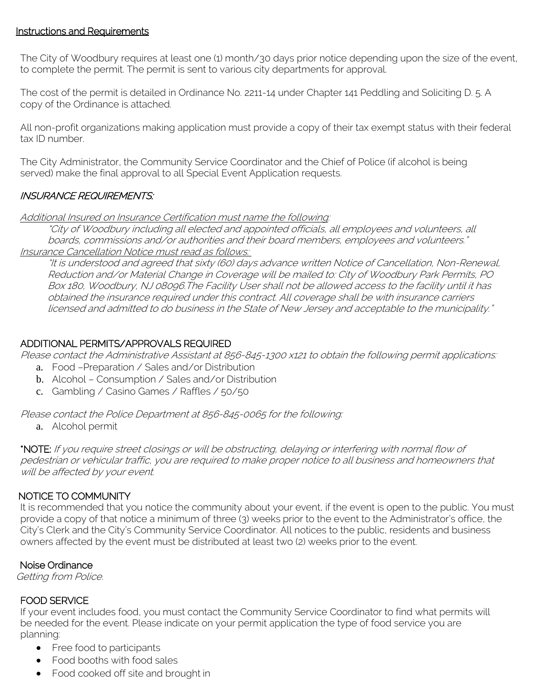## Instructions and Requirements

The City of Woodbury requires at least one (1) month/30 days prior notice depending upon the size of the event, to complete the permit. The permit is sent to various city departments for approval.

The cost of the permit is detailed in Ordinance No. 2211-14 under Chapter 141 Peddling and Soliciting D. 5. A copy of the Ordinance is attached.

All non-profit organizations making application must provide a copy of their tax exempt status with their federal tax ID number.

The City Administrator, the Community Service Coordinator and the Chief of Police (if alcohol is being served) make the final approval to all Special Event Application requests.

## INSURANCE REQUIREMENTS:

Additional Insured on Insurance Certification must name the following:

"City of Woodbury including all elected and appointed officials, all employees and volunteers, all boards, commissions and/or authorities and their board members, employees and volunteers." Insurance Cancellation Notice must read as follows:

"It is understood and agreed that sixty (60) days advance written Notice of Cancellation, Non-Renewal, Reduction and/or Material Change in Coverage will be mailed to: City of Woodbury Park Permits, PO Box 180, Woodbury, NJ 08096.The Facility User shall not be allowed access to the facility until it has obtained the insurance required under this contract. All coverage shall be with insurance carriers licensed and admitted to do business in the State of New Jersey and acceptable to the municipality."

#### ADDITIONAL PERMITS/APPROVALS REQUIRED

Please contact the Administrative Assistant at 856-845-1300 x121 to obtain the following permit applications:

- a. Food –Preparation / Sales and/or Distribution
- b. Alcohol Consumption / Sales and/or Distribution
- c. Gambling / Casino Games / Raffles / 50/50

Please contact the Police Department at 856-845-0065 for the following:

a. Alcohol permit

\*NOTE: If you require street closings or will be obstructing, delaying or interfering with normal flow of pedestrian or vehicular traffic, you are required to make proper notice to all business and homeowners that .<br>will be affected by your event.

#### NOTICE TO COMMUNITY

It is recommended that you notice the community about your event, if the event is open to the public. You must provide a copy of that notice a minimum of three (3) weeks prior to the event to the Administrator's office, the City's Clerk and the City's Community Service Coordinator. All notices to the public, residents and business owners affected by the event must be distributed at least two (2) weeks prior to the event.

## Noise Ordinance

Getting from Police.

#### FOOD SERVICE

If your event includes food, you must contact the Community Service Coordinator to find what permits will be needed for the event. Please indicate on your permit application the type of food service you are planning:

- Free food to participants
- Food booths with food sales
- Food cooked off site and brought in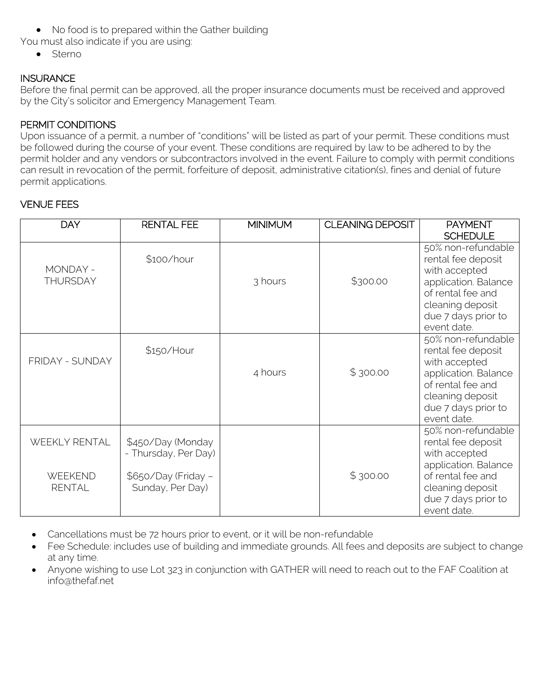- No food is to prepared within the Gather building
- You must also indicate if you are using:
	- Sterno

# **INSURANCE**

Before the final permit can be approved, all the proper insurance documents must be received and approved by the City's solicitor and Emergency Management Team.

# PERMIT CONDITIONS

Upon issuance of a permit, a number of "conditions" will be listed as part of your permit. These conditions must be followed during the course of your event. These conditions are required by law to be adhered to by the permit holder and any vendors or subcontractors involved in the event. Failure to comply with permit conditions can result in revocation of the permit, forfeiture of deposit, administrative citation(s), fines and denial of future permit applications.

## VENUE FEES

| <b>DAY</b>                                       | <b>RENTAL FEE</b>                                                                    | <b>MINIMUM</b> | <b>CLEANING DEPOSIT</b> | <b>PAYMENT</b>                                                                                                                                                   |
|--------------------------------------------------|--------------------------------------------------------------------------------------|----------------|-------------------------|------------------------------------------------------------------------------------------------------------------------------------------------------------------|
|                                                  |                                                                                      |                |                         | <b>SCHEDULE</b>                                                                                                                                                  |
| MONDAY -<br><b>THURSDAY</b>                      | \$100/hour                                                                           | 3 hours        | \$300.00                | 50% non-refundable<br>rental fee deposit<br>with accepted<br>application. Balance<br>of rental fee and<br>cleaning deposit<br>due 7 days prior to<br>event date. |
| FRIDAY - SUNDAY                                  | \$150/Hour                                                                           | 4 hours        | \$300.00                | 50% non-refundable<br>rental fee deposit<br>with accepted<br>application. Balance<br>of rental fee and<br>cleaning deposit<br>due 7 days prior to<br>event date. |
| WEEKLY RENTAL<br><b>WEEKEND</b><br><b>RENTAL</b> | \$450/Day (Monday<br>- Thursday, Per Day)<br>\$650/Day (Friday -<br>Sunday, Per Day) |                | \$300.00                | 50% non-refundable<br>rental fee deposit<br>with accepted<br>application. Balance<br>of rental fee and<br>cleaning deposit<br>due 7 days prior to<br>event date. |

- Cancellations must be 72 hours prior to event, or it will be non-refundable
- Fee Schedule: includes use of building and immediate grounds. All fees and deposits are subject to change at any time.
- Anyone wishing to use Lot 323 in conjunction with GATHER will need to reach out to the FAF Coalition at info@thefaf.net